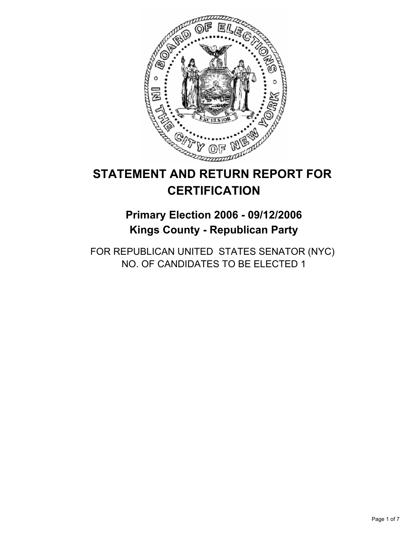

# **STATEMENT AND RETURN REPORT FOR CERTIFICATION**

## **Primary Election 2006 - 09/12/2006 Kings County - Republican Party**

FOR REPUBLICAN UNITED STATES SENATOR (NYC) NO. OF CANDIDATES TO BE ELECTED 1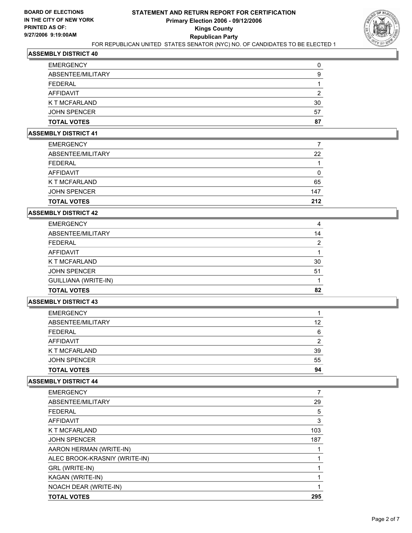

| 30 |
|----|
| 57 |
| 87 |
|    |

#### **ASSEMBLY DISTRICT 41**

| 22  |
|-----|
|     |
|     |
| 65  |
| 147 |
| 212 |
|     |

## **ASSEMBLY DISTRICT 42**

| <b>EMERGENCY</b>            |    |
|-----------------------------|----|
| ABSENTEE/MILITARY           | 14 |
| FEDERAL                     | ◠  |
| AFFIDAVIT                   |    |
| K T MCFARLAND               | 30 |
| <b>JOHN SPENCER</b>         | 51 |
| <b>GUILLIANA (WRITE-IN)</b> |    |
| <b>TOTAL VOTES</b>          | 82 |

#### **ASSEMBLY DISTRICT 43**

| <b>EMERGENCY</b>    |    |
|---------------------|----|
| ABSENTEE/MILITARY   | 12 |
| FEDERAL             | 6  |
| AFFIDAVIT           |    |
| K T MCFARLAND       | 39 |
| <b>JOHN SPENCER</b> | 55 |
| <b>TOTAL VOTES</b>  | 94 |

| <b>EMERGENCY</b>              |     |
|-------------------------------|-----|
| ABSENTEE/MILITARY             | 29  |
| <b>FEDERAL</b>                | 5   |
| AFFIDAVIT                     | 3   |
| K T MCFARLAND                 | 103 |
| <b>JOHN SPENCER</b>           | 187 |
| AARON HERMAN (WRITE-IN)       |     |
| ALEC BROOK-KRASNIY (WRITE-IN) |     |
| GRL (WRITE-IN)                |     |
| KAGAN (WRITE-IN)              |     |
| NOACH DEAR (WRITE-IN)         |     |
| <b>TOTAL VOTES</b>            | 295 |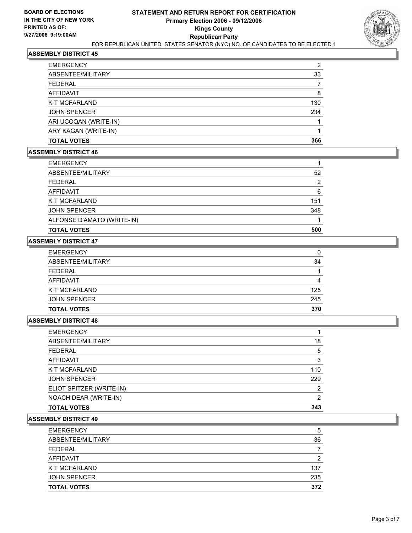

| <b>EMERGENCY</b>      | ົ   |
|-----------------------|-----|
| ABSENTEE/MILITARY     | 33  |
| <b>FEDERAL</b>        |     |
| AFFIDAVIT             | 8   |
| K T MCFARLAND         | 130 |
| <b>JOHN SPENCER</b>   | 234 |
| ARI UCOQAN (WRITE-IN) |     |
| ARY KAGAN (WRITE-IN)  |     |
| <b>TOTAL VOTES</b>    | 366 |

#### **ASSEMBLY DISTRICT 46**

| <b>EMERGENCY</b>           |     |
|----------------------------|-----|
| ABSENTEE/MILITARY          | 52  |
| FEDERAL                    |     |
| AFFIDAVIT                  | 6   |
| K T MCFARLAND              | 151 |
| <b>JOHN SPENCER</b>        | 348 |
| ALFONSE D'AMATO (WRITE-IN) |     |
| <b>TOTAL VOTES</b>         | 500 |

## **ASSEMBLY DISTRICT 47**

| <b>EMERGENCY</b>    |     |
|---------------------|-----|
| ABSENTEE/MILITARY   | 34  |
| <b>FEDERAL</b>      |     |
| AFFIDAVIT           |     |
| K T MCFARLAND       | 125 |
| <b>JOHN SPENCER</b> | 245 |
| <b>TOTAL VOTES</b>  | 370 |

#### **ASSEMBLY DISTRICT 48**

| <b>EMERGENCY</b>         |     |
|--------------------------|-----|
| ABSENTEE/MILITARY        | 18  |
| <b>FEDERAL</b>           | 5   |
| <b>AFFIDAVIT</b>         |     |
| K T MCFARLAND            | 110 |
| <b>JOHN SPENCER</b>      | 229 |
| ELIOT SPITZER (WRITE-IN) |     |
| NOACH DEAR (WRITE-IN)    |     |
| <b>TOTAL VOTES</b>       | 343 |

| <b>EMERGENCY</b>    | 5   |
|---------------------|-----|
| ABSENTEE/MILITARY   | 36  |
| <b>FEDERAL</b>      |     |
| AFFIDAVIT           | ົ   |
| K T MCFARLAND       | 137 |
| <b>JOHN SPENCER</b> | 235 |
| <b>TOTAL VOTES</b>  | 372 |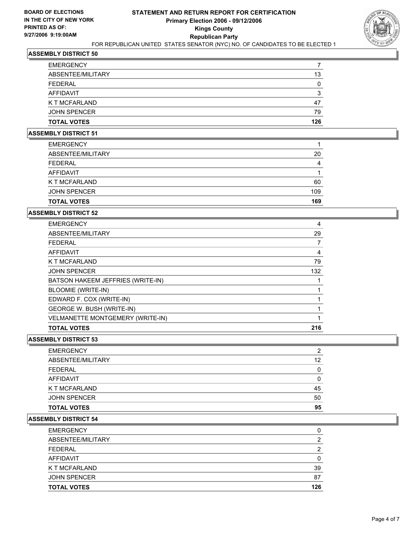

| <b>TOTAL VOTES</b>   | 126 |
|----------------------|-----|
| <b>JOHN SPENCER</b>  | 79  |
| <b>K T MCFARLAND</b> | 47  |
| AFFIDAVIT            |     |
| <b>FEDERAL</b>       |     |
| ABSENTEE/MILITARY    | 13  |
| <b>EMERGENCY</b>     |     |

#### **ASSEMBLY DISTRICT 51**

| <b>EMERGENCY</b>    |     |
|---------------------|-----|
| ABSENTEE/MILITARY   | 20  |
| <b>FEDERAL</b>      | 4   |
| <b>AFFIDAVIT</b>    |     |
| K T MCFARLAND       | 60  |
| <b>JOHN SPENCER</b> | 109 |
| <b>TOTAL VOTES</b>  | 169 |

## **ASSEMBLY DISTRICT 52**

| <b>EMERGENCY</b>                  | 4   |
|-----------------------------------|-----|
| ABSENTEE/MILITARY                 | 29  |
| <b>FEDERAL</b>                    |     |
| <b>AFFIDAVIT</b>                  | 4   |
| K T MCFARLAND                     | 79  |
| <b>JOHN SPENCER</b>               | 132 |
| BATSON HAKEEM JEFFRIES (WRITE-IN) |     |
| <b>BLOOMIE (WRITE-IN)</b>         |     |
| EDWARD F. COX (WRITE-IN)          |     |
| <b>GEORGE W. BUSH (WRITE-IN)</b>  |     |
| VELMANETTE MONTGEMERY (WRITE-IN)  |     |
| <b>TOTAL VOTES</b>                | 216 |

## **ASSEMBLY DISTRICT 53**

| EMERGENCY          | ◠  |
|--------------------|----|
| ABSENTEE/MILITARY  | 12 |
| FEDERAL            |    |
| AFFIDAVIT          |    |
| K T MCFARLAND      | 45 |
| JOHN SPENCER       | 50 |
| <b>TOTAL VOTES</b> | 95 |

| <b>EMERGENCY</b>    |     |
|---------------------|-----|
| ABSENTEE/MILITARY   |     |
| FEDERAL             |     |
| AFFIDAVIT           |     |
| K T MCFARLAND       | 39  |
| <b>JOHN SPENCER</b> | 87  |
| <b>TOTAL VOTES</b>  | 126 |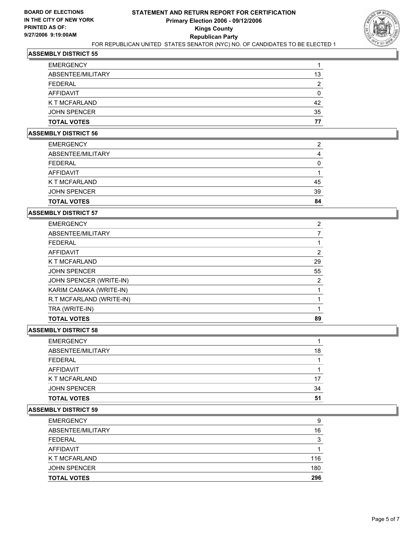

| 13 |
|----|
|    |
|    |
| 42 |
| 35 |
| 77 |
|    |

#### **ASSEMBLY DISTRICT 56**

| <b>EMERGENCY</b>     | າ  |
|----------------------|----|
| ABSENTEE/MILITARY    |    |
| <b>FEDERAL</b>       |    |
| AFFIDAVIT            |    |
| <b>K T MCFARLAND</b> | 45 |
| <b>JOHN SPENCER</b>  | 39 |
| <b>TOTAL VOTES</b>   | 84 |

## **ASSEMBLY DISTRICT 57**

| <b>EMERGENCY</b>         | ົ  |
|--------------------------|----|
| ABSENTEE/MILITARY        |    |
| <b>FEDERAL</b>           |    |
| AFFIDAVIT                |    |
| K T MCFARLAND            | 29 |
| <b>JOHN SPENCER</b>      | 55 |
| JOHN SPENCER (WRITE-IN)  | າ  |
| KARIM CAMAKA (WRITE-IN)  |    |
| R.T MCFARLAND (WRITE-IN) |    |
| TRA (WRITE-IN)           |    |
| <b>TOTAL VOTES</b>       | 89 |

#### **ASSEMBLY DISTRICT 58**

| <b>TOTAL VOTES</b>  | 51 |
|---------------------|----|
| <b>JOHN SPENCER</b> | 34 |
| K T MCFARLAND       | 17 |
| <b>AFFIDAVIT</b>    |    |
| <b>FEDERAL</b>      |    |
| ABSENTEE/MILITARY   | 18 |
| <b>EMERGENCY</b>    |    |

| 9   |
|-----|
| 16  |
| ◠   |
|     |
| 116 |
| 180 |
| 296 |
|     |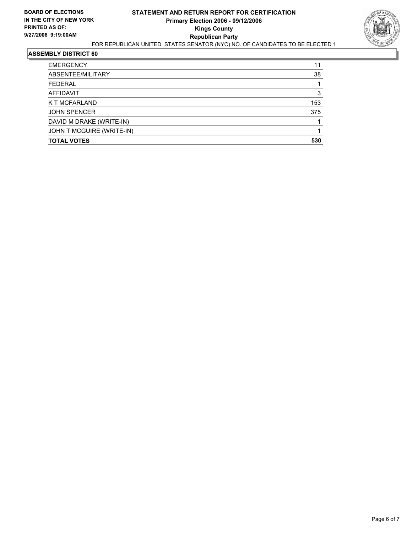

| <b>JOHN SPENCER</b><br>DAVID M DRAKE (WRITE-IN) |            |
|-------------------------------------------------|------------|
| K T MCFARLAND                                   | 153<br>375 |
| AFFIDAVIT                                       | 3          |
| <b>FEDERAL</b>                                  |            |
| ABSENTEE/MILITARY                               | 38         |
| <b>EMERGENCY</b>                                | 11         |